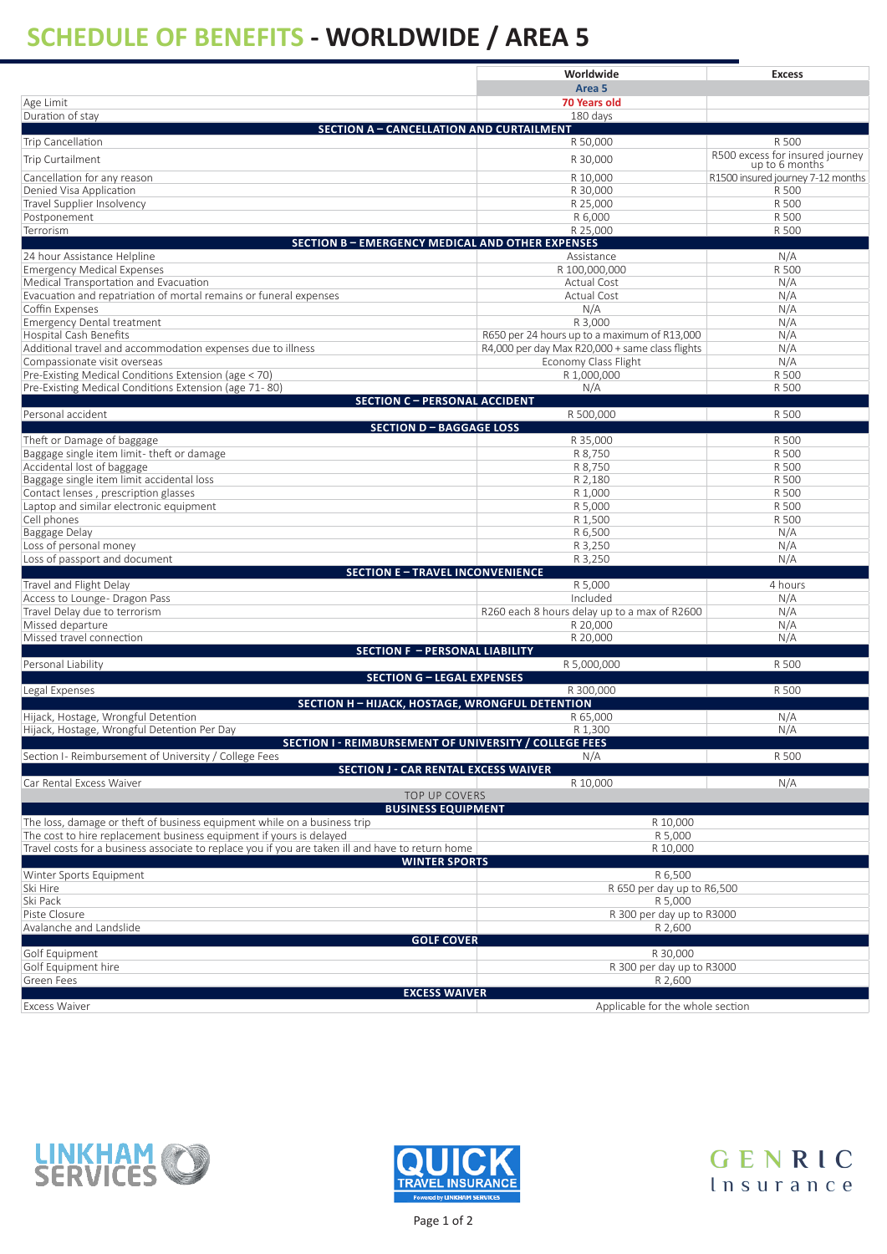## **SCHEDULE OF BENEFITS - WORLDWIDE / AREA 5**

|                                                                                                   | Worldwide                                               | <b>Excess</b>                                     |
|---------------------------------------------------------------------------------------------------|---------------------------------------------------------|---------------------------------------------------|
|                                                                                                   | Area <sub>5</sub>                                       |                                                   |
| Age Limit<br>Duration of stay                                                                     | <b>70 Years old</b><br>180 days                         |                                                   |
| <b>SECTION A - CANCELLATION AND CURTAILMENT</b>                                                   |                                                         |                                                   |
| Trip Cancellation                                                                                 | R 50,000                                                | R 500                                             |
| <b>Trip Curtailment</b>                                                                           | R 30,000                                                | R500 excess for insured journey<br>up to 6 months |
| Cancellation for any reason                                                                       | R 10,000                                                | R1500 insured journey 7-12 months                 |
| Denied Visa Application                                                                           | R 30,000                                                | R 500                                             |
| Travel Supplier Insolvency                                                                        | R 25,000                                                | R 500                                             |
| Postponement                                                                                      | R 6,000                                                 | R 500                                             |
| Terrorism<br><b>SECTION B-EMERGENCY MEDICAL AND OTHER EXPENSES</b>                                | R 25,000                                                | R 500                                             |
| 24 hour Assistance Helpline                                                                       | Assistance                                              | N/A                                               |
| <b>Emergency Medical Expenses</b>                                                                 | R 100,000,000                                           | R 500                                             |
| Medical Transportation and Evacuation                                                             | <b>Actual Cost</b>                                      | N/A                                               |
| Evacuation and repatriation of mortal remains or funeral expenses                                 | <b>Actual Cost</b>                                      | N/A                                               |
| Coffin Expenses                                                                                   | N/A                                                     | N/A<br>N/A                                        |
| <b>Emergency Dental treatment</b><br>Hospital Cash Benefits                                       | R 3,000<br>R650 per 24 hours up to a maximum of R13,000 | N/A                                               |
| Additional travel and accommodation expenses due to illness                                       | R4,000 per day Max R20,000 + same class flights         | N/A                                               |
| Compassionate visit overseas                                                                      | Economy Class Flight                                    | N/A                                               |
| Pre-Existing Medical Conditions Extension (age < 70)                                              | R 1,000,000                                             | R 500                                             |
| Pre-Existing Medical Conditions Extension (age 71-80)                                             | N/A                                                     | R 500                                             |
| <b>SECTION C - PERSONAL ACCIDENT</b><br>Personal accident                                         | R 500,000                                               | R 500                                             |
| <b>SECTION D - BAGGAGE LOSS</b>                                                                   |                                                         |                                                   |
| Theft or Damage of baggage                                                                        | R 35,000                                                | R 500                                             |
| Baggage single item limit-theft or damage                                                         | R 8,750                                                 | R 500                                             |
| Accidental lost of baggage                                                                        | R 8,750                                                 | R 500                                             |
| Baggage single item limit accidental loss<br>Contact lenses, prescription glasses                 | R 2,180<br>R 1,000                                      | R 500<br>R 500                                    |
| Laptop and similar electronic equipment                                                           | R 5,000                                                 | R 500                                             |
| Cell phones                                                                                       | R 1,500                                                 | R 500                                             |
| Baggage Delay                                                                                     | R 6,500                                                 | N/A                                               |
| Loss of personal money                                                                            | R 3,250                                                 | N/A                                               |
| Loss of passport and document<br><b>SECTION E-TRAVEL INCONVENIENCE</b>                            | R 3,250                                                 | N/A                                               |
| Travel and Flight Delay                                                                           | R 5,000                                                 | 4 hours                                           |
| Access to Lounge- Dragon Pass                                                                     | Included                                                | N/A                                               |
| Travel Delay due to terrorism                                                                     | R260 each 8 hours delay up to a max of R2600            | N/A                                               |
| Missed departure                                                                                  | R 20,000                                                | N/A                                               |
| Missed travel connection<br><b>SECTION F - PERSONAL LIABILITY</b>                                 | R 20,000                                                | N/A                                               |
| Personal Liability                                                                                | R 5,000,000                                             | R 500                                             |
| <b>SECTION G - LEGAL EXPENSES</b>                                                                 |                                                         |                                                   |
| Legal Expenses                                                                                    | R 300,000                                               | R 500                                             |
| <b>SECTION H - HIJACK, HOSTAGE, WRONGFUL DETENTION</b><br>Hijack, Hostage, Wrongful Detention     | R 65,000                                                | N/A                                               |
| Hijack, Hostage, Wrongful Detention Per Day                                                       | R 1,300                                                 | N/A                                               |
| SECTION I - REIMBURSEMENT OF UNIVERSITY / COLLEGE FEES                                            |                                                         |                                                   |
| Section I- Reimbursement of University / College Fees                                             | N/A                                                     | R 500                                             |
| <b>SECTION J - CAR RENTAL EXCESS WAIVER</b>                                                       |                                                         |                                                   |
| Car Rental Excess Waiver<br><b>TOP UP COVERS</b>                                                  | R 10,000                                                | N/A                                               |
| <b>BUSINESS EQUIPMENT</b>                                                                         |                                                         |                                                   |
| The loss, damage or theft of business equipment while on a business trip                          | R 10,000                                                |                                                   |
| The cost to hire replacement business equipment if yours is delayed                               | R 5,000                                                 |                                                   |
| Travel costs for a business associate to replace you if you are taken ill and have to return home | R 10,000                                                |                                                   |
| <b>WINTER SPORTS</b><br>Winter Sports Equipment                                                   | R 6.500                                                 |                                                   |
| Ski Hire                                                                                          | R 650 per day up to R6,500                              |                                                   |
| Ski Pack                                                                                          | R 5,000                                                 |                                                   |
| Piste Closure                                                                                     | R 300 per day up to R3000                               |                                                   |
| Avalanche and Landslide                                                                           | R 2,600                                                 |                                                   |
| <b>GOLF COVER</b><br>Golf Equipment                                                               |                                                         |                                                   |
| Golf Equipment hire                                                                               | R 30,000<br>R 300 per day up to R3000                   |                                                   |
| Green Fees                                                                                        | R 2,600                                                 |                                                   |
| <b>EXCESS WAIVER</b>                                                                              |                                                         |                                                   |
| <b>Excess Waiver</b>                                                                              | Applicable for the whole section                        |                                                   |